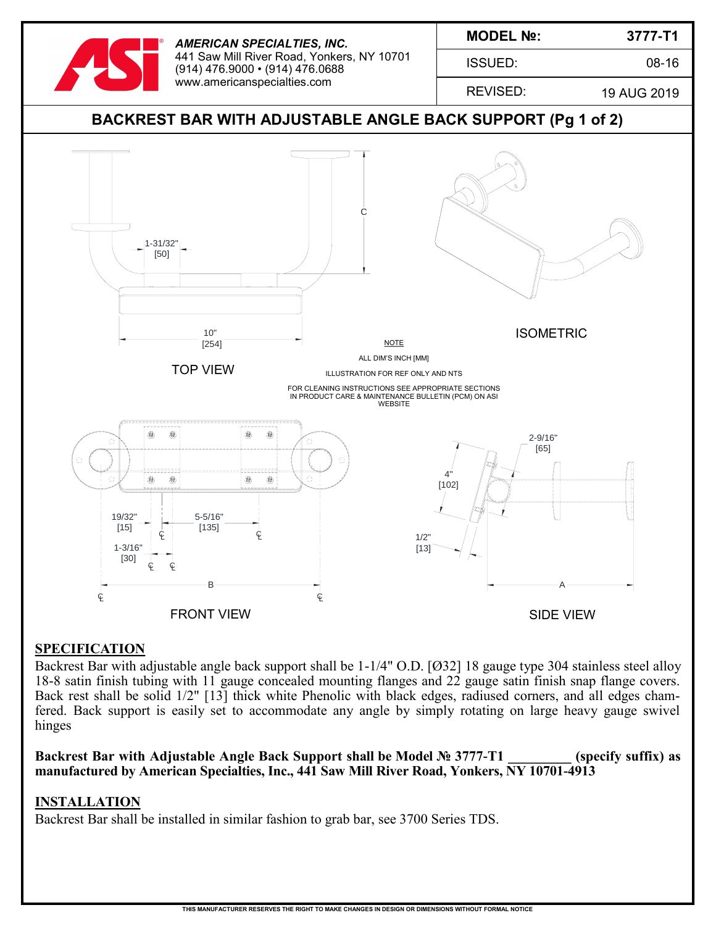

*AMERICAN SPECIALTIES, INC.* 441 Saw Mill River Road, Yonkers, NY 10701 (914) 476.9000 • (914) 476.0688 www.americanspecialties.com

ISSUED:

**3777-T1** 

08-16

REVISED:

19 AUG 2019



## **SPECIFICATION**

Backrest Bar with adjustable angle back support shall be 1-1/4" O.D. [Ø32] 18 gauge type 304 stainless steel alloy 18-8 satin finish tubing with 11 gauge concealed mounting flanges and 22 gauge satin finish snap flange covers. Back rest shall be solid 1/2" [13] thick white Phenolic with black edges, radiused corners, and all edges chamfered. Back support is easily set to accommodate any angle by simply rotating on large heavy gauge swivel hinges

Backrest Bar with Adjustable Angle Back Support shall be Model № 3777-T1 (specify suffix) as **manufactured by American Specialties, Inc., 441 Saw Mill River Road, Yonkers, NY 10701-4913**

## **INSTALLATION**

Backrest Bar shall be installed in similar fashion to grab bar, see 3700 Series TDS.